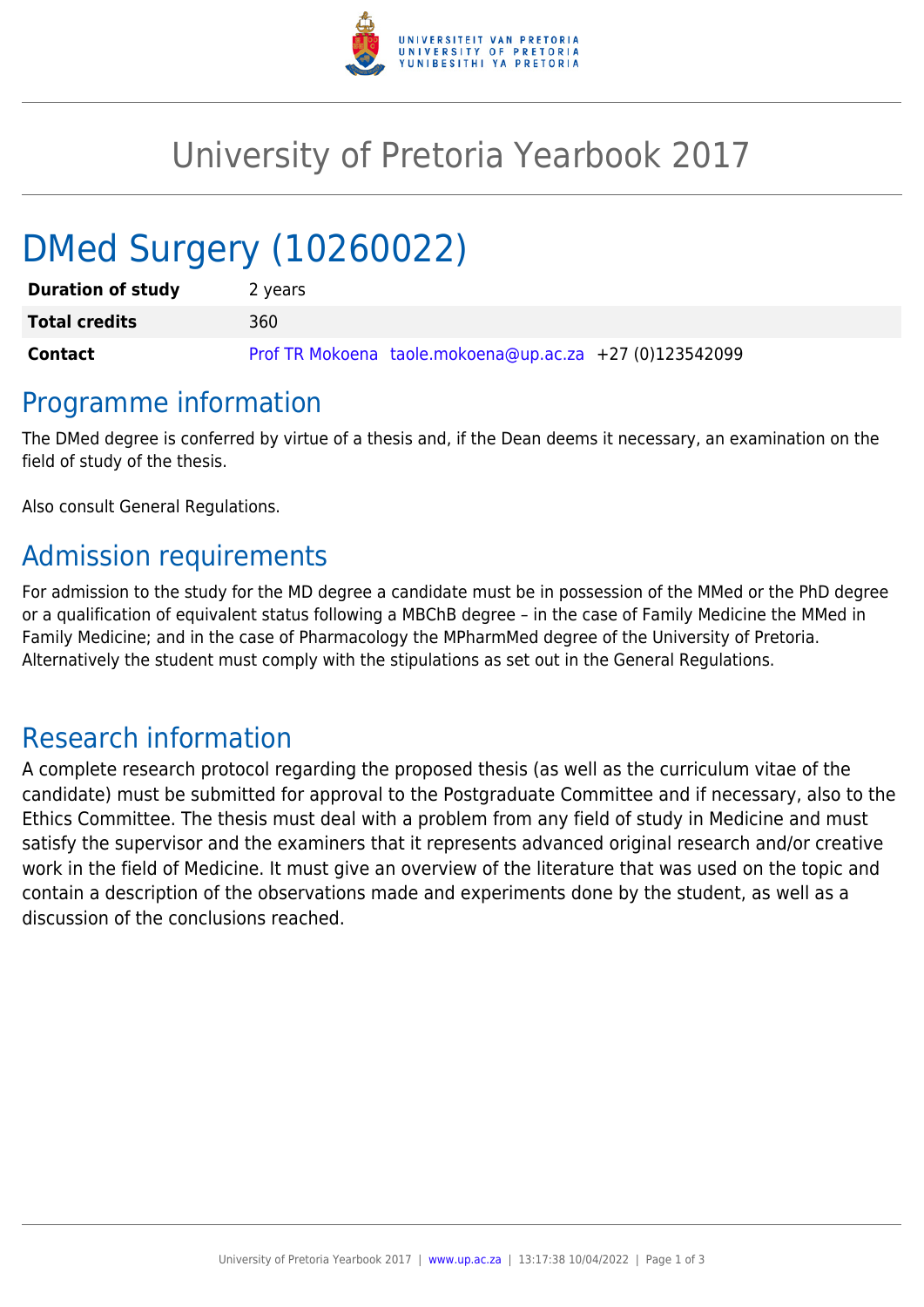

## University of Pretoria Yearbook 2017

# DMed Surgery (10260022)

| <b>Duration of study</b> | 2 years                                                 |
|--------------------------|---------------------------------------------------------|
| <b>Total credits</b>     | 360                                                     |
| <b>Contact</b>           | Prof TR Mokoena taole.mokoena@up.ac.za +27 (0)123542099 |

#### Programme information

The DMed degree is conferred by virtue of a thesis and, if the Dean deems it necessary, an examination on the field of study of the thesis.

Also consult General Regulations.

## Admission requirements

For admission to the study for the MD degree a candidate must be in possession of the MMed or the PhD degree or a qualification of equivalent status following a MBChB degree – in the case of Family Medicine the MMed in Family Medicine; and in the case of Pharmacology the MPharmMed degree of the University of Pretoria. Alternatively the student must comply with the stipulations as set out in the General Regulations.

#### Research information

A complete research protocol regarding the proposed thesis (as well as the curriculum vitae of the candidate) must be submitted for approval to the Postgraduate Committee and if necessary, also to the Ethics Committee. The thesis must deal with a problem from any field of study in Medicine and must satisfy the supervisor and the examiners that it represents advanced original research and/or creative work in the field of Medicine. It must give an overview of the literature that was used on the topic and contain a description of the observations made and experiments done by the student, as well as a discussion of the conclusions reached.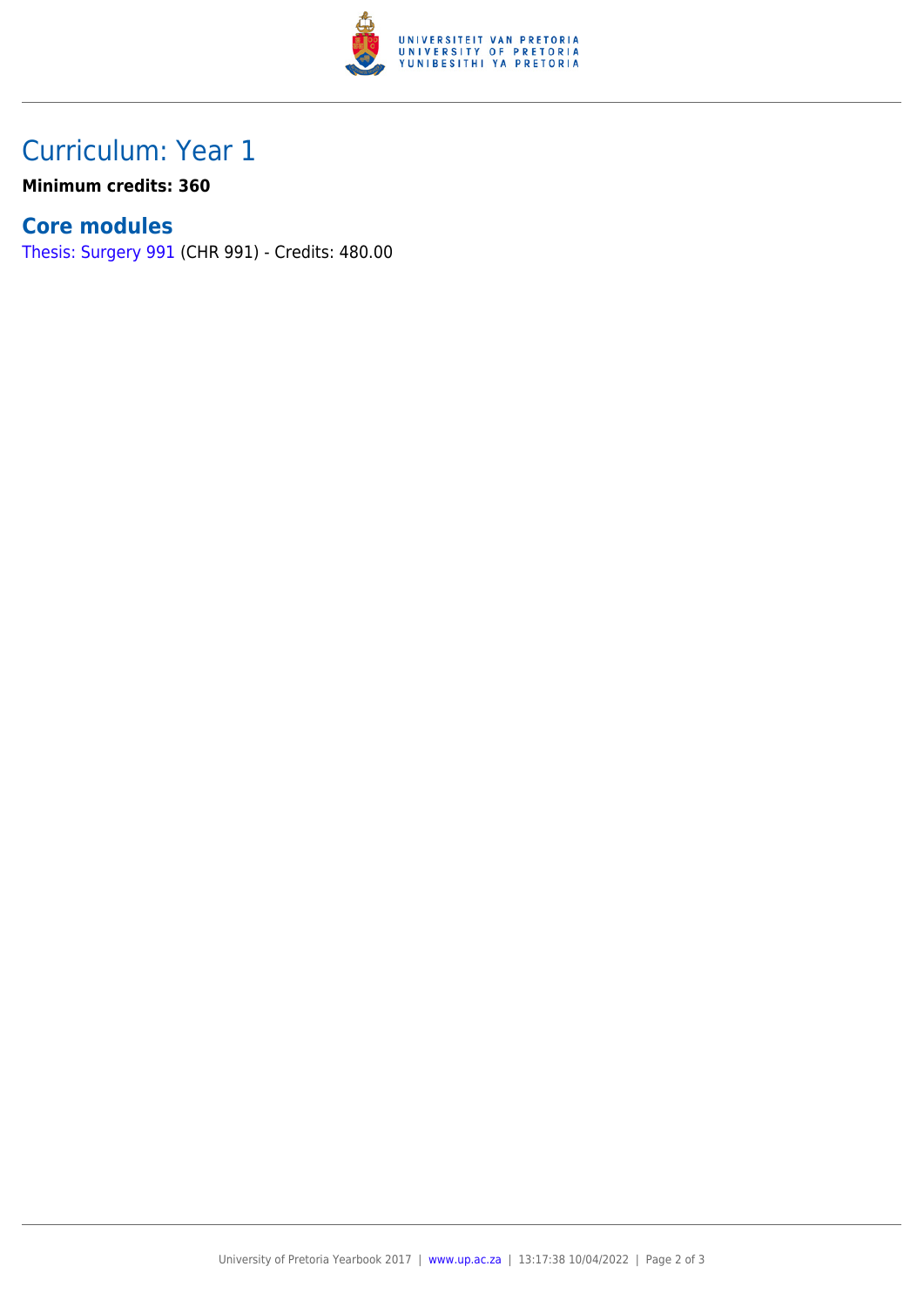

## Curriculum: Year 1

**Minimum credits: 360**

#### **Core modules**

[Thesis: Surgery 991](https://www.up.ac.za/yearbooks/2017/modules/view/CHR 991) (CHR 991) - Credits: 480.00